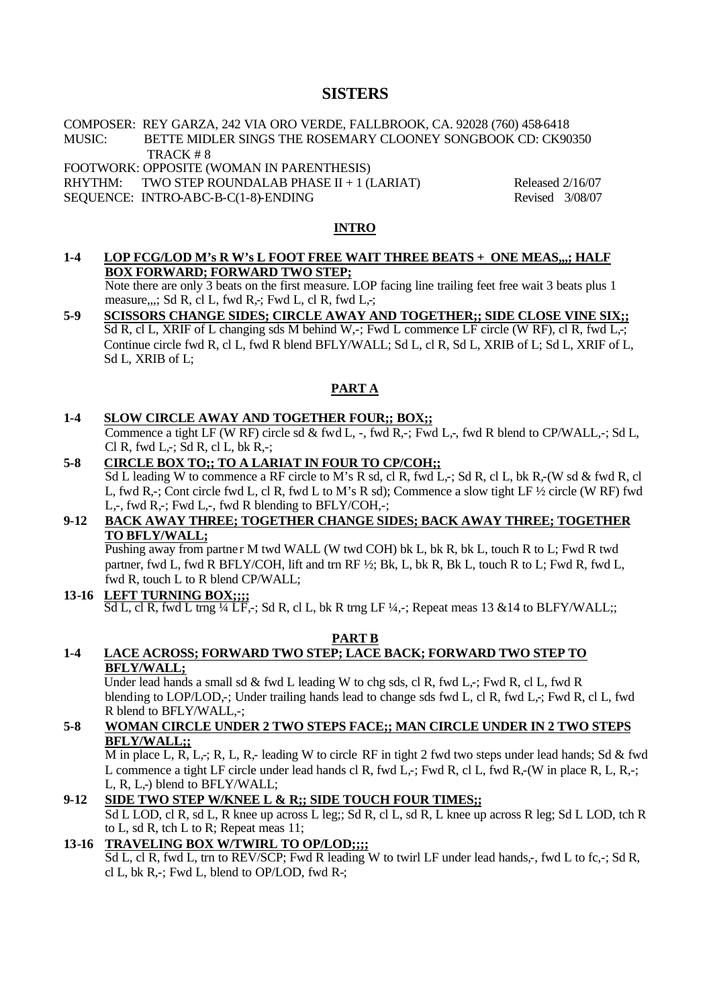# **SISTERS**

COMPOSER: REY GARZA, 242 VIA ORO VERDE, FALLBROOK, CA. 92028 (760) 458-6418 MUSIC: BETTE MIDLER SINGS THE ROSEMARY CLOONEY SONGBOOK CD: CK90350

TRACK # 8 FOOTWORK: OPPOSITE (WOMAN IN PARENTHESIS)

RHYTHM: TWO STEP ROUNDALAB PHASE  $II + 1$  (LARIAT) Released 2/16/07

SEQUENCE: INTRO-ABC-B-C(1-8)-ENDING Revised 3/08/07

### **INTRO**

**1-4 LOP FCG/LOD M's R W's L FOOT FREE WAIT THREE BEATS + ONE MEAS,,,; HALF BOX FORWARD; FORWARD TWO STEP;**

Note there are only 3 beats on the first measure. LOP facing line trailing feet free wait 3 beats plus 1 measure,,,; Sd R, cl L, fwd R,-; Fwd L, cl R, fwd L,-;

**5-9 SCISSORS CHANGE SIDES; CIRCLE AWAY AND TOGETHER;; SIDE CLOSE VINE SIX;;**  Sd R, cl L, XRIF of L changing sds M behind W,-; Fwd L commence LF circle (W RF), cl R, fwd L,-; Continue circle fwd R, cl L, fwd R blend BFLY/WALL; Sd L, cl R, Sd L, XRIB of L; Sd L, XRIF of L, Sd L, XRIB of L;

# **PART A**

### **1-4 SLOW CIRCLE AWAY AND TOGETHER FOUR;; BOX;;**

Commence a tight LF (W RF) circle sd & fwd L,  $-$ , fwd R, $-$ ; Fwd L, $-$ , fwd R blend to CP/WALL, $-$ ; Sd L, Cl R, fwd L,-; Sd R, cl L, bk R,-;

### **5-8 CIRCLE BOX TO;; TO A LARIAT IN FOUR TO CP/COH;;**

 $\overline{S}d$  L leading W to commence a RF circle to M's R sd, cl R, fwd L,-; Sd R, cl L, bk R,-(W sd & fwd R, cl L, fwd R,-; Cont circle fwd L, cl R, fwd L to M's R sd); Commence a slow tight LF ½ circle (W RF) fwd L,-, fwd R,-; Fwd L,-, fwd R blending to BFLY/COH,-;

### **9-12 BACK AWAY THREE; TOGETHER CHANGE SIDES; BACK AWAY THREE; TOGETHER TO BFLY/WALL;**

Pushing away from partner M twd WALL (W twd COH) bk L, bk R, bk L, touch R to L; Fwd R twd partner, fwd L, fwd R BFLY/COH, lift and trn RF ½; Bk, L, bk R, Bk L, touch R to L; Fwd R, fwd L, fwd R, touch L to R blend CP/WALL;

### **13-16 LEFT TURNING BOX;;;;**   $\overline{Sd L}$ , cl R, fwd L trng ¼ LF,-; Sd R, cl L, bk R trng LF ¼,-; Repeat meas 13 & 14 to BLFY/WALL;;

### **PART B**

### **1-4 LACE ACROSS; FORWARD TWO STEP; LACE BACK; FORWARD TWO STEP TO BFLY/WALL;**

Under lead hands a small sd  $\&$  fwd L leading W to chg sds, cl R, fwd L,-; Fwd R, cl L, fwd R blending to LOP/LOD,-; Under trailing hands lead to change sds fwd L, cl R, fwd L,-; Fwd R, cl L, fwd R blend to BFLY/WALL,-;

### **5-8 WOMAN CIRCLE UNDER 2 TWO STEPS FACE;; MAN CIRCLE UNDER IN 2 TWO STEPS BFLY/WALL;;**

M in place L, R, L,-; R, L, R,- leading W to circle RF in tight 2 fwd two steps under lead hands; Sd & fwd L commence a tight LF circle under lead hands cl R, fwd L,-; Fwd R, cl L, fwd R,-(W in place R, L, R,-; L, R, L,-) blend to BFLY/WALL;

### **9-12 SIDE TWO STEP W/KNEE L & R;; SIDE TOUCH FOUR TIMES;;**

Sd L LOD, cl R, sd L, R knee up across L leg;; Sd R, cl L, sd R, L knee up across R leg; Sd L LOD, tch R to L, sd R, tch L to R; Repeat meas 11;

# **13-16 TRAVELING BOX W/TWIRL TO OP/LOD;;;;**

Sd L, cl R, fwd L, trn to REV/SCP; Fwd R leading W to twirl LF under lead hands,-, fwd L to fc,-; Sd R, cl L, bk R,-; Fwd L, blend to OP/LOD, fwd R-;